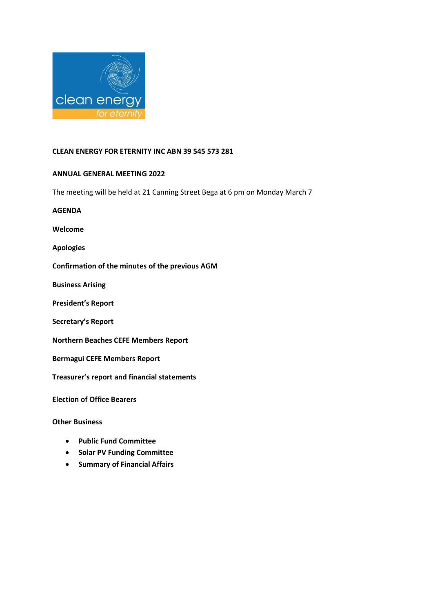

#### **CLEAN ENERGY FOR ETERNITY INC ABN 39 545 573 281**

#### **ANNUAL GENERAL MEETING 2022**

The meeting will be held at 21 Canning Street Bega at 6 pm on Monday March 7

#### **AGENDA**

**Welcome**

**Apologies**

**Confirmation of the minutes of the previous AGM**

**Business Arising**

**President's Report**

**Secretary's Report**

**Northern Beaches CEFE Members Report**

**Bermagui CEFE Members Report**

**Treasurer's report and financial statements**

**Election of Office Bearers**

**Other Business**

- **Public Fund Committee**
- **Solar PV Funding Committee**
- **Summary of Financial Affairs**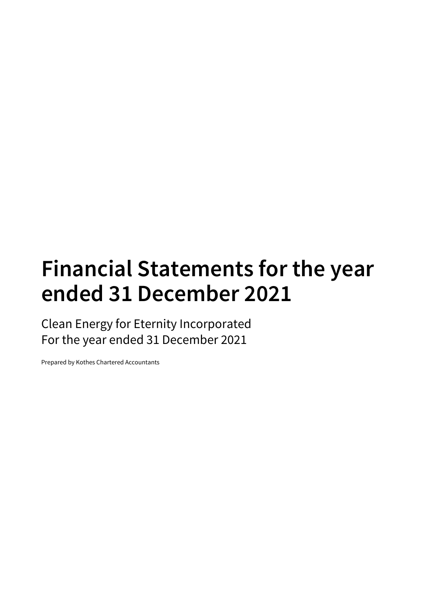# **Financial Statements for the year ended 31 December 2021**

Clean Energy for Eternity Incorporated For the year ended 31 December 2021

Prepared by Kothes Chartered Accountants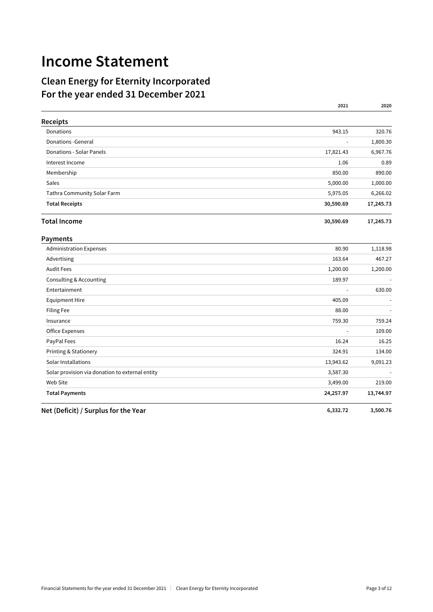## **Income Statement**

## **Clean Energy for Eternity Incorporated For the year ended 31 December 2021**

|                                                 | 2021           | 2020      |
|-------------------------------------------------|----------------|-----------|
| Receipts                                        |                |           |
| Donations                                       | 943.15         | 320.76    |
| <b>Donations</b> - General                      | $\blacksquare$ | 1,800.30  |
| <b>Donations - Solar Panels</b>                 | 17,821.43      | 6,967.76  |
| Interest Income                                 | 1.06           | 0.89      |
| Membership                                      | 850.00         | 890.00    |
| Sales                                           | 5,000.00       | 1,000.00  |
| Tathra Community Solar Farm                     | 5,975.05       | 6,266.02  |
| <b>Total Receipts</b>                           | 30,590.69      | 17,245.73 |
| <b>Total Income</b>                             | 30,590.69      | 17,245.73 |
| Payments                                        |                |           |
| <b>Administration Expenses</b>                  | 80.90          | 1,118.98  |
| Advertising                                     | 163.64         | 467.27    |
| <b>Audit Fees</b>                               | 1,200.00       | 1,200.00  |
| Consulting & Accounting                         | 189.97         |           |
| Entertainment                                   |                | 630.00    |
| <b>Equipment Hire</b>                           | 405.09         |           |
| <b>Filing Fee</b>                               | 88.00          |           |
| Insurance                                       | 759.30         | 759.24    |
| Office Expenses                                 |                | 109.00    |
| PayPal Fees                                     | 16.24          | 16.25     |
| Printing & Stationery                           | 324.91         | 134.00    |
| Solar Installations                             | 13,943.62      | 9,091.23  |
| Solar provision via donation to external entity | 3,587.30       |           |
| Web Site                                        | 3,499.00       | 219.00    |
| <b>Total Payments</b>                           | 24,257.97      | 13,744.97 |
| Net (Deficit) / Surplus for the Year            | 6,332.72       | 3,500.76  |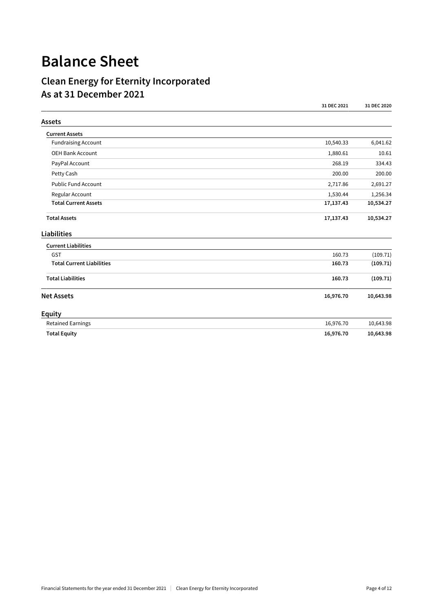## **Balance Sheet**

## **Clean Energy for Eternity Incorporated As at 31 December 2021**

|                                  | 31 DEC 2021 | 31 DEC 2020 |
|----------------------------------|-------------|-------------|
| Assets                           |             |             |
| <b>Current Assets</b>            |             |             |
| <b>Fundraising Account</b>       | 10,540.33   | 6,041.62    |
| <b>OEH Bank Account</b>          | 1,880.61    | 10.61       |
| PayPal Account                   | 268.19      | 334.43      |
| Petty Cash                       | 200.00      | 200.00      |
| <b>Public Fund Account</b>       | 2,717.86    | 2,691.27    |
| Regular Account                  | 1,530.44    | 1,256.34    |
| <b>Total Current Assets</b>      | 17,137.43   | 10,534.27   |
| <b>Total Assets</b>              | 17,137.43   | 10,534.27   |
| <b>Liabilities</b>               |             |             |
| <b>Current Liabilities</b>       |             |             |
| GST                              | 160.73      | (109.71)    |
| <b>Total Current Liabilities</b> | 160.73      | (109.71)    |
| <b>Total Liabilities</b>         | 160.73      | (109.71)    |
| <b>Net Assets</b>                | 16,976.70   | 10,643.98   |
| <b>Equity</b>                    |             |             |
| <b>Retained Earnings</b>         | 16,976.70   | 10,643.98   |
| <b>Total Equity</b>              | 16,976.70   | 10,643.98   |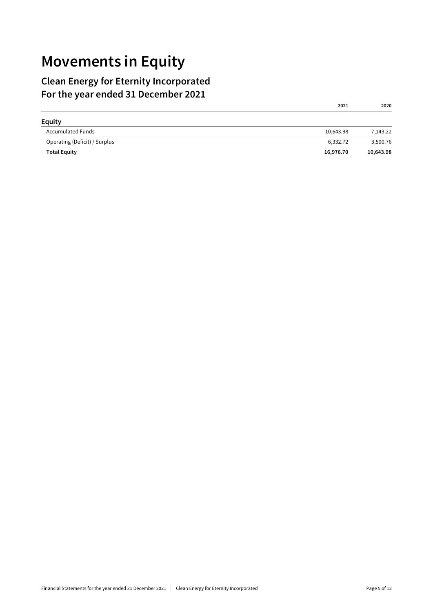## **Movements in Equity**

## **Clean Energy for Eternity Incorporated For the year ended 31 December 2021**

| <b>Equity</b>                 |           |           |  |
|-------------------------------|-----------|-----------|--|
| <b>Accumulated Funds</b>      | 10,643.98 | 7,143.22  |  |
| Operating (Deficit) / Surplus | 6,332.72  | 3,500.76  |  |
| <b>Total Equity</b>           | 16,976.70 | 10,643.98 |  |

**2021 2020**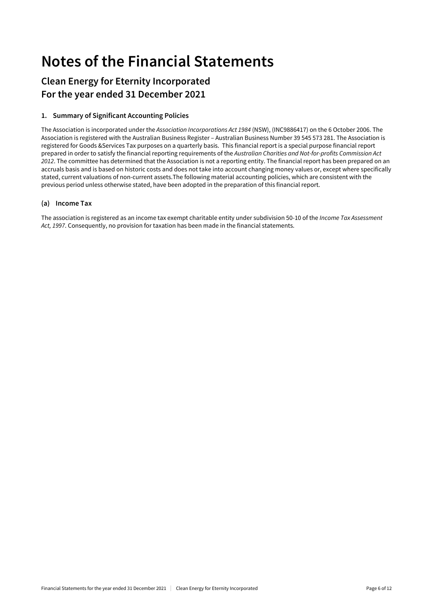## **Notes of the Financial Statements**

## **Clean Energy for Eternity Incorporated For the year ended 31 December 2021**

#### **1. Summary of Significant Accounting Policies**

The Association is incorporated under the *Association Incorporations Act 1984* (NSW), (INC9886417) on the 6 October 2006. The Association is registered with the Australian Business Register – Australian Business Number 39 545 573 281. The Association is registered for Goods &Services Tax purposes on a quarterly basis. This financial report is a special purpose financial report prepared in order to satisfy the financial reporting requirements of the *Australian Charities and Not-for-profits Commission Act 2012*. The committee has determined that the Association is not a reporting entity. The financial report has been prepared on an accruals basis and is based on historic costs and does not take into account changing money values or, except where specifically stated, current valuations of non-current assets.The following material accounting policies, which are consistent with the previous period unless otherwise stated, have been adopted in the preparation of this financial report.

#### **(a) Income Tax**

The association is registered as an income tax exempt charitable entity under subdivision 50-10 of the *Income Tax Assessment Act, 1997*. Consequently, no provision for taxation has been made in the financial statements.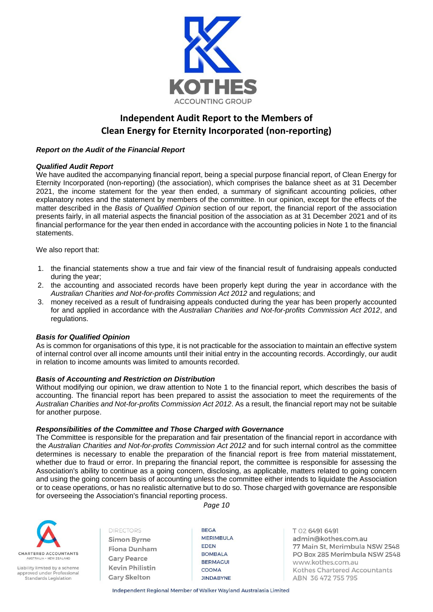

### **Independent Audit Report to the Members of Clean Energy for Eternity Incorporated (non-reporting)**

#### *Report on the Audit of the Financial Report*

#### *Qualified Audit Report*

We have audited the accompanying financial report, being a special purpose financial report, of Clean Energy for Eternity Incorporated (non-reporting) (the association), which comprises the balance sheet as at 31 December 2021, the income statement for the year then ended, a summary of significant accounting policies, other explanatory notes and the statement by members of the committee. In our opinion, except for the effects of the matter described in the *Basis of Qualified Opinion* section of our report, the financial report of the association presents fairly, in all material aspects the financial position of the association as at 31 December 2021 and of its financial performance for the year then ended in accordance with the accounting policies in Note 1 to the financial statements.

We also report that:

- 1. the financial statements show a true and fair view of the financial result of fundraising appeals conducted during the year;
- 2. the accounting and associated records have been properly kept during the year in accordance with the *Australian Charities and Not-for-profits Commission Act 2012* and regulations; and
- 3. money received as a result of fundraising appeals conducted during the year has been properly accounted for and applied in accordance with the *Australian Charities and Not-for-profits Commission Act 2012*, and regulations.

#### *Basis for Qualified Opinion*

As is common for organisations of this type, it is not practicable for the association to maintain an effective system of internal control over all income amounts until their initial entry in the accounting records. Accordingly, our audit in relation to income amounts was limited to amounts recorded.

#### *Basis of Accounting and Restriction on Distribution*

Without modifying our opinion, we draw attention to Note 1 to the financial report, which describes the basis of accounting. The financial report has been prepared to assist the association to meet the requirements of the *Australian Charities and Not-for-profits Commission Act 2012*. As a result, the financial report may not be suitable for another purpose.

#### *Responsibilities of the Committee and Those Charged with Governance*

The Committee is responsible for the preparation and fair presentation of the financial report in accordance with the *Australian Charities and Not-for-profits Commission Act 2012* and for such internal control as the committee determines is necessary to enable the preparation of the financial report is free from material misstatement, whether due to fraud or error. In preparing the financial report, the committee is responsible for assessing the Association's ability to continue as a going concern, disclosing, as applicable, matters related to going concern and using the going concern basis of accounting unless the committee either intends to liquidate the Association or to cease operations, or has no realistic alternative but to do so. Those charged with governance are responsible for overseeing the Association's financial reporting process.

*Page 10*

CHARTERED ACCOUNTANTS

Liability limited by a scheme approved under Professional **Standards Legislation** 



**BEGA MERIMBULA FDFN BOMBALA BERMAGUI** COOMA **JINDABYNE** 

T 02 6491 6491 admin@kothes.com.au 77 Main St, Merimbula NSW 2548 PO Box 285 Merimbula NSW 2548 www.kothes.com.au Kothes Chartered Accountants ABN 36 472 755 795

Independent Regional Member of Walker Wayland Australasia Limited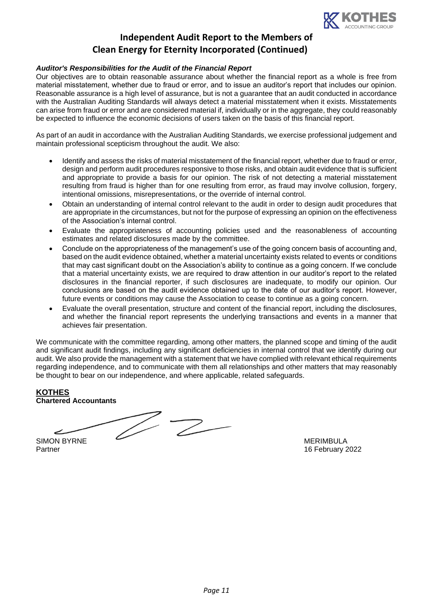

### **Independent Audit Report to the Members of Clean Energy for Eternity Incorporated (Continued)**

#### *Auditor's Responsibilities for the Audit of the Financial Report*

Our objectives are to obtain reasonable assurance about whether the financial report as a whole is free from material misstatement, whether due to fraud or error, and to issue an auditor's report that includes our opinion. Reasonable assurance is a high level of assurance, but is not a guarantee that an audit conducted in accordance with the Australian Auditing Standards will always detect a material misstatement when it exists. Misstatements can arise from fraud or error and are considered material if, individually or in the aggregate, they could reasonably be expected to influence the economic decisions of users taken on the basis of this financial report.

As part of an audit in accordance with the Australian Auditing Standards, we exercise professional judgement and maintain professional scepticism throughout the audit. We also:

- Identify and assess the risks of material misstatement of the financial report, whether due to fraud or error, design and perform audit procedures responsive to those risks, and obtain audit evidence that is sufficient and appropriate to provide a basis for our opinion. The risk of not detecting a material misstatement resulting from fraud is higher than for one resulting from error, as fraud may involve collusion, forgery, intentional omissions, misrepresentations, or the override of internal control.
- Obtain an understanding of internal control relevant to the audit in order to design audit procedures that are appropriate in the circumstances, but not for the purpose of expressing an opinion on the effectiveness of the Association's internal control.
- Evaluate the appropriateness of accounting policies used and the reasonableness of accounting estimates and related disclosures made by the committee.
- Conclude on the appropriateness of the management's use of the going concern basis of accounting and, based on the audit evidence obtained, whether a material uncertainty exists related to events or conditions that may cast significant doubt on the Association's ability to continue as a going concern. If we conclude that a material uncertainty exists, we are required to draw attention in our auditor's report to the related disclosures in the financial reporter, if such disclosures are inadequate, to modify our opinion. Our conclusions are based on the audit evidence obtained up to the date of our auditor's report. However, future events or conditions may cause the Association to cease to continue as a going concern.
- Evaluate the overall presentation, structure and content of the financial report, including the disclosures, and whether the financial report represents the underlying transactions and events in a manner that achieves fair presentation.

We communicate with the committee regarding, among other matters, the planned scope and timing of the audit and significant audit findings, including any significant deficiencies in internal control that we identify during our audit. We also provide the management with a statement that we have complied with relevant ethical requirements regarding independence, and to communicate with them all relationships and other matters that may reasonably be thought to bear on our independence, and where applicable, related safeguards.

#### **KOTHES Chartered Accountants**

 $SIMON BYRNE$ 

Partner 16 February 2022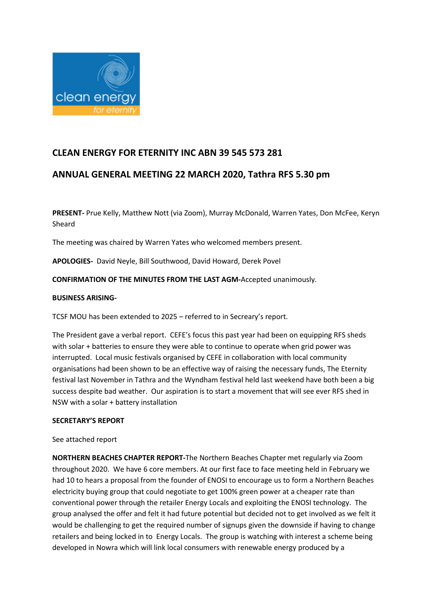

### **CLEAN ENERGY FOR ETERNITY INC ABN 39 545 573 281**

### **ANNUAL GENERAL MEETING 22 MARCH 2020, Tathra RFS 5.30 pm**

**PRESENT-** Prue Kelly, Matthew Nott (via Zoom), Murray McDonald, Warren Yates, Don McFee, Keryn Sheard

The meeting was chaired by Warren Yates who welcomed members present.

**APOLOGIES-** David Neyle, Bill Southwood, David Howard, Derek Povel

**CONFIRMATION OF THE MINUTES FROM THE LAST AGM-**Accepted unanimously.

#### **BUSINESS ARISING-**

TCSF MOU has been extended to 2025 – referred to in Secreary's report.

The President gave a verbal report. CEFE's focus this past year had been on equipping RFS sheds with solar + batteries to ensure they were able to continue to operate when grid power was interrupted. Local music festivals organised by CEFE in collaboration with local community organisations had been shown to be an effective way of raising the necessary funds, The Eternity festival last November in Tathra and the Wyndham festival held last weekend have both been a big success despite bad weather. Our aspiration is to start a movement that will see ever RFS shed in NSW with a solar + battery installation

#### **SECRETARY'S REPORT**

#### See attached report

**NORTHERN BEACHES CHAPTER REPORT-**The Northern Beaches Chapter met regularly via Zoom throughout 2020. We have 6 core members. At our first face to face meeting held in February we had 10 to hears a proposal from the founder of ENOSI to encourage us to form a Northern Beaches electricity buying group that could negotiate to get 100% green power at a cheaper rate than conventional power through the retailer Energy Locals and exploiting the ENOSI technology. The group analysed the offer and felt it had future potential but decided not to get involved as we felt it would be challenging to get the required number of signups given the downside if having to change retailers and being locked in to Energy Locals. The group is watching with interest a scheme being developed in Nowra which will link local consumers with renewable energy produced by a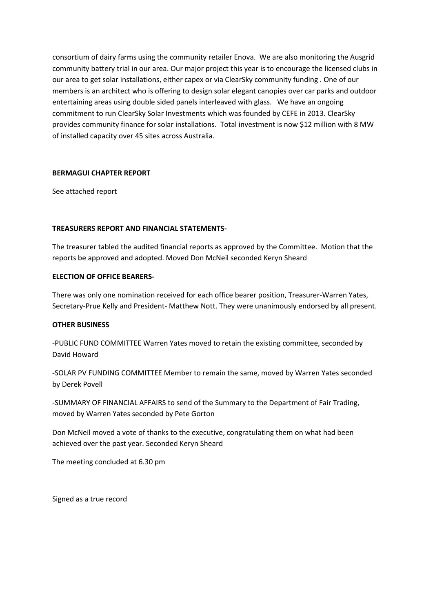consortium of dairy farms using the community retailer Enova. We are also monitoring the Ausgrid community battery trial in our area. Our major project this year is to encourage the licensed clubs in our area to get solar installations, either capex or via ClearSky community funding . One of our members is an architect who is offering to design solar elegant canopies over car parks and outdoor entertaining areas using double sided panels interleaved with glass. We have an ongoing commitment to run ClearSky Solar Investments which was founded by CEFE in 2013. ClearSky provides community finance for solar installations. Total investment is now \$12 million with 8 MW of installed capacity over 45 sites across Australia.

#### **BERMAGUI CHAPTER REPORT**

See attached report

#### **TREASURERS REPORT AND FINANCIAL STATEMENTS-**

The treasurer tabled the audited financial reports as approved by the Committee. Motion that the reports be approved and adopted. Moved Don McNeil seconded Keryn Sheard

#### **ELECTION OF OFFICE BEARERS-**

There was only one nomination received for each office bearer position, Treasurer-Warren Yates, Secretary-Prue Kelly and President- Matthew Nott. They were unanimously endorsed by all present.

#### **OTHER BUSINESS**

-PUBLIC FUND COMMITTEE Warren Yates moved to retain the existing committee, seconded by David Howard

-SOLAR PV FUNDING COMMITTEE Member to remain the same, moved by Warren Yates seconded by Derek Povell

-SUMMARY OF FINANCIAL AFFAIRS to send of the Summary to the Department of Fair Trading, moved by Warren Yates seconded by Pete Gorton

Don McNeil moved a vote of thanks to the executive, congratulating them on what had been achieved over the past year. Seconded Keryn Sheard

The meeting concluded at 6.30 pm

Signed as a true record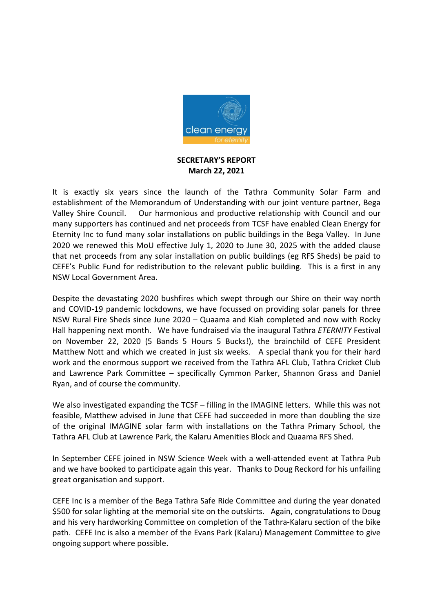

#### **SECRETARY'S REPORT March 22, 2021**

It is exactly six years since the launch of the Tathra Community Solar Farm and establishment of the Memorandum of Understanding with our joint venture partner, Bega Valley Shire Council. Our harmonious and productive relationship with Council and our many supporters has continued and net proceeds from TCSF have enabled Clean Energy for Eternity Inc to fund many solar installations on public buildings in the Bega Valley. In June 2020 we renewed this MoU effective July 1, 2020 to June 30, 2025 with the added clause that net proceeds from any solar installation on public buildings (eg RFS Sheds) be paid to CEFE's Public Fund for redistribution to the relevant public building. This is a first in any NSW Local Government Area.

Despite the devastating 2020 bushfires which swept through our Shire on their way north and COVID-19 pandemic lockdowns, we have focussed on providing solar panels for three NSW Rural Fire Sheds since June 2020 – Quaama and Kiah completed and now with Rocky Hall happening next month. We have fundraised via the inaugural Tathra *ETERNITY* Festival on November 22, 2020 (5 Bands 5 Hours 5 Bucks!), the brainchild of CEFE President Matthew Nott and which we created in just six weeks. A special thank you for their hard work and the enormous support we received from the Tathra AFL Club, Tathra Cricket Club and Lawrence Park Committee – specifically Cymmon Parker, Shannon Grass and Daniel Ryan, and of course the community.

We also investigated expanding the TCSF – filling in the IMAGINE letters. While this was not feasible, Matthew advised in June that CEFE had succeeded in more than doubling the size of the original IMAGINE solar farm with installations on the Tathra Primary School, the Tathra AFL Club at Lawrence Park, the Kalaru Amenities Block and Quaama RFS Shed.

In September CEFE joined in NSW Science Week with a well-attended event at Tathra Pub and we have booked to participate again this year. Thanks to Doug Reckord for his unfailing great organisation and support.

CEFE Inc is a member of the Bega Tathra Safe Ride Committee and during the year donated \$500 for solar lighting at the memorial site on the outskirts. Again, congratulations to Doug and his very hardworking Committee on completion of the Tathra-Kalaru section of the bike path. CEFE Inc is also a member of the Evans Park (Kalaru) Management Committee to give ongoing support where possible.